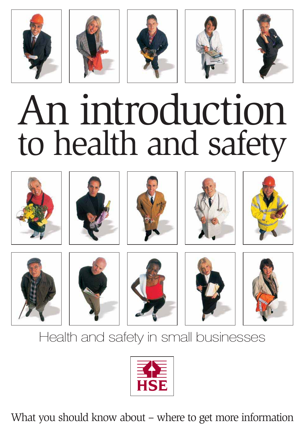









# An introduction to health and safety





















## Health and safety in small businesses



What you should know about – where to get more information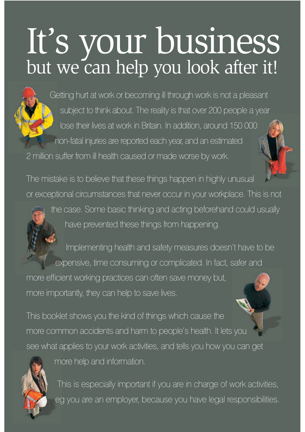# It's your business but we can help you look after it!



Getting hurt at work or becoming ill through work is not a pleasant subject to think about. The reality is that over 200 people a year lose their lives at work in Britain. In addition, around 150 000 non-fatal injuries are reported each year, and an estimated 2 million suffer from ill health caused or made worse by work.

The mistake is to believe that these things happen in highly unusual or exceptional circumstances that never occur in your workplace. This is not

the case. Some basic thinking and acting beforehand could usually have prevented these things from happening.

Implementing health and safety measures doesn't have to be expensive, time consuming or complicated. In fact, safer and more efficient working practices can often save money but, more importantly, they can help to save lives.

This booklet shows you the kind of things which cause the more common accidents and harm to people's health. It lets you see what applies to your work activities, and tells you how you can get



more help and information.

This is especially important if you are in charge of work activities, eg you are an employer, because you have legal responsibilities.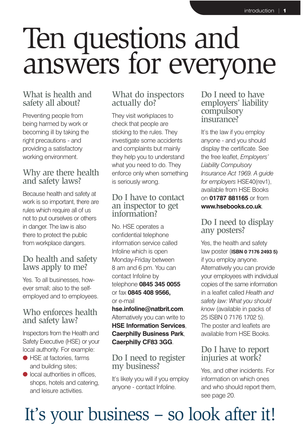# Ten questions and answers for everyone

### What is health and safety all about?

Preventing people from being harmed by work or becoming ill by taking the right precautions - and providing a satisfactory working environment.

### Why are there health and safety laws?

Because health and safety at work is so important, there are rules which require all of us not to put ourselves or others in danger. The law is also there to protect the public from workplace dangers.

### Do health and safety laws apply to me?

Yes. To all businesses, however small; also to the selfemployed and to employees.

### Who enforces health and safety law?

Inspectors from the Health and Safety Executive (HSE) or your local authority. For example:

- HSE at factories, farms and building sites;
- $\bullet$  local authorities in offices, shops, hotels and catering, and leisure activities.

### What do inspectors actually do?

They visit workplaces to check that people are sticking to the rules. They investigate some accidents and complaints but mainly they help you to understand what you need to do. They enforce only when something is seriously wrong.

### Do I have to contact an inspector to get information?

No. HSE operates a confidential telephone information service called Infoline which is open Monday-Friday between 8 am and 6 pm. You can contact Infoline by telephone **0845 345 0055** or fax **0845 408 9566,** or e-mail

**hse.infoline@natbrit.com**. Alternatively you can write to **HSE Information Services**, **Caerphilly Business Park**, **Caerphilly CF83 3GG**.

### Do I need to register my business?

It's likely you will if you employ anyone - contact Infoline.

#### Do I need to have employers' liability compulsory insurance?

It's the law if you employ anyone - and you should display the certificate. See the free leaflet, *Employers' Liability Compulsory Insurance Act 1969. A guide for employers* HSE40(rev1), available from HSE Books on **01787 881165** or from **www.hsebooks.co.uk**.

### Do I need to display any posters?

Yes, the health and safety law poster (**ISBN 0 7176 2493 5)** if you employ anyone. Alternatively you can provide your employees with individual copies of the same information in a leaflet called *Health and safety law: What you should know* (available in packs of 25 ISBN 0 7176 1702 5). The poster and leaflets are available from HSE Books.

### Do I have to report injuries at work?

Yes, and other incidents. For information on which ones and who should report them, see page 20.

## It's your business – so look after it!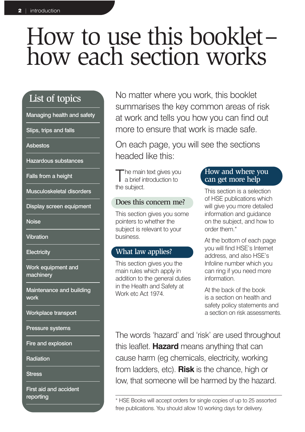## How to use this booklet– how each section works

## List of topics

Managing health and safety

Slips, trips and falls

Asbestos

Hazardous substances

Falls from a height

Musculoskeletal disorders

Display screen equipment

**Noise** 

Vibration

**Electricity** 

Work equipment and machinery

Maintenance and building work

Workplace transport

Pressure systems

Fire and explosion

**Radiation** 

**Stress** 

First aid and accident

No matter where you work, this booklet summarises the key common areas of risk at work and tells you how you can find out more to ensure that work is made safe.

On each page, you will see the sections headed like this:

The main text gives you<br>a brief introduction to the subject.

#### Does this concern me?

This section gives you some pointers to whether the subject is relevant to your business.

#### What law applies?

This section gives you the main rules which apply in addition to the general duties in the Health and Safety at Work etc Act 1974.

#### How and where you can get more help

This section is a selection of HSE publications which will give you more detailed information and guidance on the subject, and how to order them.\*

At the bottom of each page you will find HSE's Internet address, and also HSE's Infoline number which you can ring if you need more information.

At the back of the book is a section on health and safety policy statements and a section on risk assessments.

The words 'hazard' and 'risk' are used throughout this leaflet. **Hazard** means anything that can cause harm (eg chemicals, electricity, working from ladders, etc). **Risk** is the chance, high or low, that someone will be harmed by the hazard.

reporting  $\overline{\phantom{a}}$   $\overline{\phantom{a}}$  HSE Books will accept orders for single copies of up to 25 assorted free publications. You should allow 10 working days for delivery.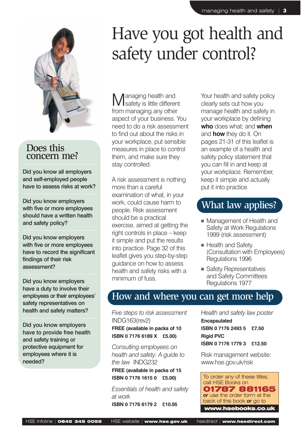

Did you know all employers and self-employed people have to assess risks at work?

Did you know employers with five or more employees should have a written health and safety policy?

Did you know employers with five or more employees have to record the significant findings of their risk assessment?

Did you know employers have a duty to involve their employees or their employees' safety representatives on health and safety matters?

Did you know employers have to provide free health and safety training or protective equipment for employees where it is needed?

## Have you got health and safety under control?

Managing health and safety is little different from managing any other aspect of your business. You need to do a risk assessment to find out about the risks in your workplace, put sensible measures in place to control them, and make sure they stay controlled.

A risk assessment is nothing more than a careful examination of what, in your work, could cause harm to people. Risk assessment should be a practical exercise, aimed at getting the right controls in place – keep it simple and put the results into practice. Page 32 of this leaflet gives you step-by-step guidance on how to assess health and safety risks with a minimum of fuss.

Your health and safety policy clearly sets out how you manage health and safety in your workplace by defining **who** does what; and **when** and **how** they do it. On pages 21-31 of this leaflet is an example of a health and safety policy statement that you can fill in and keep at your workplace. Remember, keep it simple and actually put it into practice.

## What law applies?

- Management of Health and Safety at Work Regulations 1999 (risk assessment)
- Health and Safety (Consultation with Employees) Regulations 1996
- Safety Representatives and Safety Committees Regulations 1977

## How and where you can get more help

*Five steps to risk assessment* INDG163(rev2) **FREE (available in packs of 10**

**ISBN 0 7176 6189 X £5.00)**

*Consulting employees on health and safety: A guide to the law* INDG232 **FREE (available in packs of 15 ISBN 0 7176 1615 0 £5.00)**

*Essentials of health and safety at work* **ISBN 0 7176 6179 2 £10.95**

*Health and safety law poster* **Encapsulated ISBN 0 7176 2493 5 £7.50 Rigid PVC ISBN 0 7176 1779 3 £12.50**

Risk management website: www.hse.gov.uk/risk

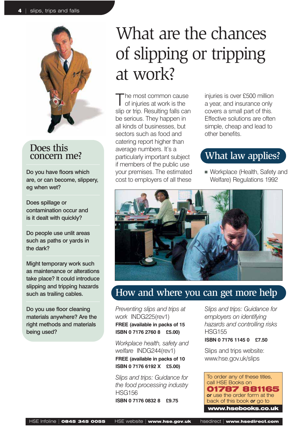

Do you have floors which are, or can become, slippery, eg when wet?

Does spillage or contamination occur and is it dealt with quickly?

Do people use unlit areas such as paths or yards in the dark?

Might temporary work such as maintenance or alterations take place? It could introduce slipping and tripping hazards such as trailing cables.

Do you use floor cleaning materials anywhere? Are the right methods and materials being used?

## What are the chances of slipping or tripping at work?

The most common cause of injuries at work is the slip or trip. Resulting falls can be serious. They happen in all kinds of businesses, but sectors such as food and catering report higher than average numbers. It's a particularly important subject if members of the public use your premises. The estimated cost to employers of all these

injuries is over £500 million a year, and insurance only covers a small part of this. Effective solutions are often simple, cheap and lead to other benefits.

## What law applies?

■ Workplace (Health, Safety and Welfare) Regulations 1992



## How and where you can get more help

*Preventing slips and trips at work* INDG225(rev1) **FREE (available in packs of 15 ISBN 0 7176 2760 8 £5.00)**

*Workplace health, safety and welfare* INDG244(rev1) **FREE (available in packs of 10 ISBN 0 7176 6192 X £5.00)**

*Slips and trips: Guidance for the food processing industry* HSG156 **ISBN 0 7176 0832 8 £9.75**

*Slips and trips: Guidance for employers on identifying hazards and controlling risks* HSG155

#### **ISBN 0 7176 1145 0 £7.50**

Slips and trips website: www.hse.gov.uk/slips

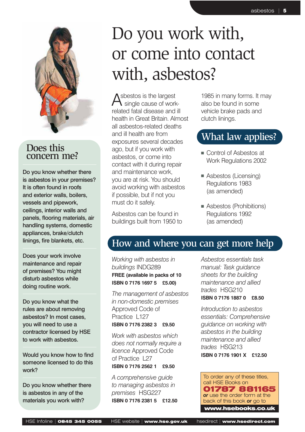

Do you know whether there is asbestos in your premises? It is often found in roofs and exterior walls, boilers, vessels and pipework, ceilings, interior walls and panels, flooring materials, air handling systems, domestic appliances, brake/clutch linings, fire blankets, etc.

Does your work involve maintenance and repair of premises? You might disturb asbestos while doing routine work.

Do you know what the rules are about removing asbestos? In most cases, you will need to use a contractor licensed by HSE to work with asbestos.

Would you know how to find someone licensed to do this work?

Do you know whether there is asbestos in any of the materials you work with?

## Do you work with, or come into contact with, asbestos?

sbestos is the largest single cause of workrelated fatal disease and ill health in Great Britain. Almost all asbestos-related deaths and ill health are from exposures several decades ago, but if you work with asbestos, or come into contact with it during repair and maintenance work, you are at risk. You should avoid working with asbestos if possible, but if not you must do it safely.

Asbestos can be found in buildings built from 1950 to 1985 in many forms. It may also be found in some vehicle brake pads and clutch linings.

## What law applies?

- Control of Asbestos at Work Regulations 2002
- Asbestos (Licensing) Regulations 1983 (as amended)
- Asbestos (Prohibitions) Regulations 1992 (as amended)

## How and where you can get more help

*Working with asbestos in buildings* INDG289 **FREE (available in packs of 10 ISBN 0 7176 1697 5 £5.00)**

*The management of asbestos in non-domestic premises* Approved Code of Practice L127 **ISBN 0 7176 2382 3 £9.50**

*Work with asbestos which does not normally require a licence* Approved Code of Practice 127 **ISBN 0 7176 2562 1 £9.50**

*A comprehensive guide to managing asbestos in premises* HSG227 **ISBN 0 7176 2381 5 £12.50** *Asbestos essentials task manual: Task guidance sheets for the building maintenance and allied trades* HSG210 **ISBN 0 7176 1887 0 £8.50**

*Introduction to asbestos essentials: Comprehensive guidance on working with asbestos in the building maintenance and allied trades* HSG213 **ISBN 0 7176 1901 X £12.50**

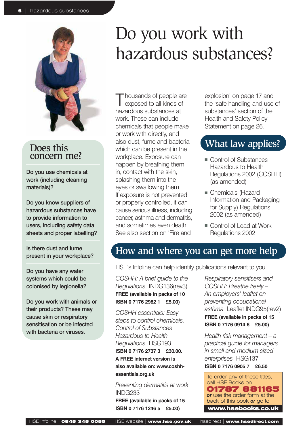

Do you use chemicals at work (including cleaning materials)?

Do you know suppliers of hazardous substances have to provide information to users, including safety data sheets and proper labelling?

Is there dust and fume present in your workplace?

Do you have any water systems which could be colonised by legionella?

Do you work with animals or their products? These may cause skin or respiratory sensitisation or be infected with bacteria or viruses.

## Do you work with hazardous substances?

housands of people are exposed to all kinds of hazardous substances at work. These can include chemicals that people make or work with directly, and also dust, fume and bacteria which can be present in the workplace. Exposure can happen by breathing them in, contact with the skin, splashing them into the eyes or swallowing them. If exposure is not prevented or properly controlled, it can cause serious illness, including cancer, asthma and dermatitis, and sometimes even death. See also section on 'Fire and

explosion' on page 17 and the 'safe handling and use of substances' section of the Health and Safety Policy Statement on page 26.

### What law applies?

- Control of Substances Hazardous to Health Regulations 2002 (COSHH) (as amended)
- Chemicals (Hazard Information and Packaging for Supply) Regulations 2002 (as amended)
- Control of Lead at Work Regulations 2002

## How and where you can get more help

HSE's Infoline can help identify publications relevant to you.

*COSHH: A brief guide to the Regulations* INDG136(rev3) **FREE (available in packs of 10 ISBN 0 7176 2982 1 £5.00)**

*COSHH essentials: Easy steps to control chemicals. Control of Substances Hazardous to Health Regulations* HSG193 **ISBN 0 7176 2737 3 £30.00. A FREE internet version is also available on: www.coshhessentials.org.uk**

*Preventing dermatitis at work* INDG233 **FREE (available in packs of 15 ISBN 0 7176 1246 5 £5.00)** 

*Respiratory sensitisers and COSHH: Breathe freely – An employers' leaflet on preventing occupational asthma* Leaflet INDG95(rev2) **FREE (available in packs of 15 ISBN 0 7176 0914 6 £5.00)**

*Health risk management – a practical guide for managers in small and medium sized enterprises* HSG137 **ISBN 0 7176 0905 7 £6.50**

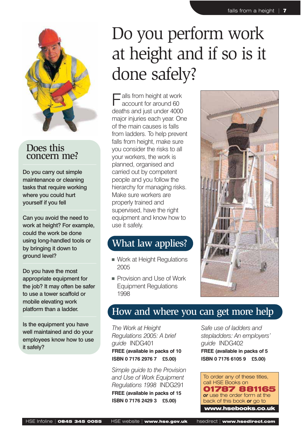

Do you carry out simple maintenance or cleaning tasks that require working where you could hurt yourself if you fell

Can you avoid the need to work at height? For example, could the work be done using long-handled tools or by bringing it down to ground level?

Do you have the most appropriate equipment for the job? It may often be safer to use a tower scaffold or mobile elevating work platform than a ladder.

Is the equipment you have well maintained and do your employees know how to use it safely?

## Do you perform work at height and if so is it done safely?

alls from height at work account for around 60 deaths and just under 4000 major injuries each year. One of the main causes is falls from ladders. To help prevent falls from height, make sure you consider the risks to all your workers, the work is planned, organised and carried out by competent people and you follow the hierarchy for managing risks. Make sure workers are properly trained and supervised, have the right equipment and know how to use it safely.

## What law applies?

- Work at Height Regulations 2005
- Provision and Use of Work Equipment Regulations 1998



## How and where you can get more help

*The Work at Height Regulations 2005: A brief guide* INDG401 **FREE (available in packs of 10 ISBN 0 7176 2976 7 £5.00)** 

*Simple guide to the Provision and Use of Work Equipment Regulations 1998* INDG291 **FREE (available in packs of 15 ISBN 0 7176 2429 3 £5.00)**

*Safe use of ladders and stepladders: An employers' guide* INDG402 **FREE (available in packs of 5 ISBN 0 7176 6105 9 £5.00)**

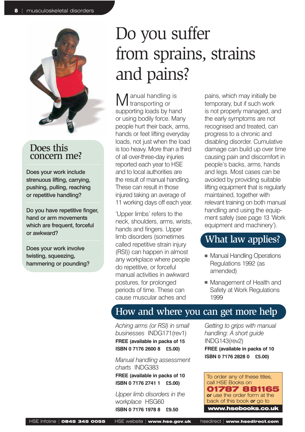

Does your work include strenuous lifting, carrying, pushing, pulling, reaching or repetitive handling?

Do you have repetitive finger, hand or arm movements which are frequent, forceful or awkward?

Does your work involve twisting, squeezing, hammering or pounding?

## Do you suffer from sprains, strains and pains?

 $M$  anual handling is<br>transporting or supporting loads by hand or using bodily force. Many people hurt their back, arms, hands or feet lifting everyday loads, not just when the load is too heavy. More than a third of all over-three-day injuries reported each year to HSE and to local authorities are the result of manual handling. These can result in those injured taking an average of 11 working days off each year.

'Upper limbs' refers to the neck, shoulders, arms, wrists, hands and fingers. Upper limb disorders (sometimes called repetitive strain injury (RSI)) can happen in almost any workplace where people do repetitive, or forceful manual activities in awkward postures, for prolonged periods of time. These can cause muscular aches and

pains, which may initially be temporary, but if such work is not properly managed, and the early symptoms are not recognised and treated, can progress to a chronic and disabling disorder. Cumulative damage can build up over time causing pain and discomfort in people's backs, arms, hands and legs. Most cases can be avoided by providing suitable lifting equipment that is regularly maintained, together with relevant training on both manual handling and using the equipment safely (see page 13 'Work equipment and machinery').

## What law applies?

- Manual Handling Operations Regulations 1992 (as amended)
- Management of Health and Safety at Work Regulations 1999

## How and where you can get more help

*Aching arms (or RSI) in small businesses* INDG171(rev1) **FREE (available in packs of 15 ISBN 0 7176 2600 8 £5.00)** 

*Manual handling assessment charts* INDG383

**FREE (available in packs of 10 ISBN 0 7176 2741 1 £5.00)** 

*Upper limb disorders in the workplace* HSG60 **ISBN 0 7176 1978 8 £9.50**

*Getting to grips with manual handling: A short guide* INDG143(rev2) **FREE (available in packs of 10 ISBN 0 7176 2828 0 £5.00)** 

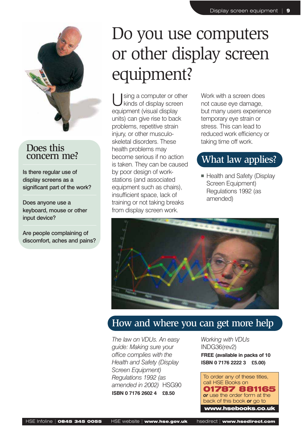

Is there regular use of display screens as a significant part of the work?

Does anyone use a keyboard, mouse or other input device?

Are people complaining of discomfort, aches and pains?

## Do you use computers or other display screen equipment?

sing a computer or other kinds of display screen equipment (visual display units) can give rise to back problems, repetitive strain injury, or other musculoskeletal disorders. These health problems may become serious if no action is taken. They can be caused by poor design of workstations (and associated equipment such as chairs), insufficient space, lack of training or not taking breaks from display screen work.

Work with a screen does not cause eye damage, but many users experience temporary eye strain or stress. This can lead to reduced work efficiency or taking time off work.

## What law applies?

■ Health and Safety (Display Screen Equipment) Regulations 1992 (as amended)



## How and where you can get more help

*The law on VDUs. An easy guide: Making sure your office complies with the Health and Safety (Display Screen Equipment) Regulations 1992 (as amended in 2002)* HSG90 **ISBN 0 7176 2602 4 £8.50**

*Working with VDUs* INDG36(rev2) **FREE (available in packs of 10 ISBN 0 7176 2222 3 £5.00)**

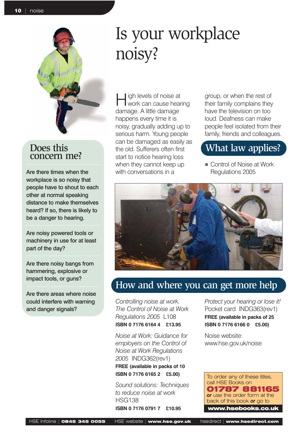

Are there times when the workplace is so noisy that people have to shout to each other at normal speaking distance to make themselves heard? If so, there is likely to be a danger to hearing.

Are noisy powered tools or machinery in use for at least part of the day?

Are there noisy bangs from hammering, explosive or impact tools, or guns?

Are there areas where noise could interfere with warning and danger signals?

## Is your workplace noisy?

igh levels of noise at work can cause hearing damage. A little damage happens every time it is noisy, gradually adding up to serious harm. Young people can be damaged as easily as the old. Sufferers often first start to notice hearing loss when they cannot keep up with conversations in a

group, or when the rest of their family complains they have the television on too loud. Deafness can make people feel isolated from their family, friends and colleagues.

## What law applies?

■ Control of Noise at Work Regulations 2005



## How and where you can get more help

*Controlling noise at work. The Control of Noise at Work Regulations 2005* L108 **ISBN 0 7176 6164 4 £13.95**

*Noise at Work: Guidance for employers on the Control of Noise at Work Regulations 2005* INDG362(rev1) **FREE (available in packs of 10 ISBN 0 7176 6165 2 £5.00)**

*Sound solutions: Techniques to reduce noise at work* HSG138 **ISBN 0 7176 0791 7 £10.95**

*Protect your hearing or lose it!* Pocket card INDG363(rev1) **FREE (available in packs of 25 ISBN 0 7176 6166 0 £5.00)**

Noise website: www.hse.gov.uk/noise

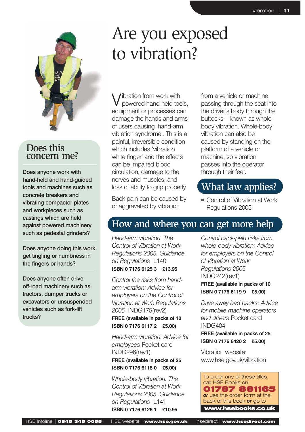

Does anyone work with hand-held and hand-guided tools and machines such as concrete breakers and vibrating compactor plates and workpieces such as castings which are held against powered machinery such as pedestal grinders?

Does anyone doing this work get tingling or numbness in the fingers or hands?

Does anyone often drive off-road machinery such as tractors, dumper trucks or excavators or unsuspended vehicles such as fork-lift trucks?

## Are you exposed to vibration?

libration from work with powered hand-held tools, equipment or processes can damage the hands and arms of users causing 'hand-arm vibration syndrome'. This is a painful, irreversible condition which includes 'vibration white finger' and the effects can be impaired blood circulation, damage to the nerves and muscles, and loss of ability to grip properly.

Back pain can be caused by or aggravated by vibration

from a vehicle or machine passing through the seat into the driver's body through the buttocks – known as wholebody vibration. Whole-body vibration can also be caused by standing on the platform of a vehicle or machine, so vibration passes into the operator through their feet.

## What law applies?

■ Control of Vibration at Work Regulations 2005

## How and where you can get more help

*Hand-arm vibration. The Control of Vibration at Work Regulations 2005. Guidance on Regulations* L140 **ISBN 0 7176 6125 3 £13.95**

*Control the risks from handarm vibration: Advice for employers on the Control of Vibration at Work Regulations 2005* INDG175(rev2) **FREE (available in packs of 10 ISBN 0 7176 6117 2 £5.00)**

*Hand-arm vibration: Advice for employees* Pocket card INDG296(rev1) **FREE (available in packs of 25 ISBN 0 7176 6118 0 £5.00)** 

*Whole-body vibration. The Control of Vibration at Work Regulations 2005. Guidance on Regulations* L141 **ISBN 0 7176 6126 1 £10.95**

*Control back-pain risks from whole-body vibration: Advice for employers on the Control of Vibration at Work Regulations 2005* INDG242(rev1) **FREE (available in packs of 10 ISBN 0 7176 6119 9 £5.00)**

*Drive away bad backs: Advice for mobile machine operators and drivers* Pocket card INDG404 **FREE (available in packs of 25**

**ISBN 0 7176 6420 2 £5.00)**

Vibration website: www.hse.gov.uk/vibration

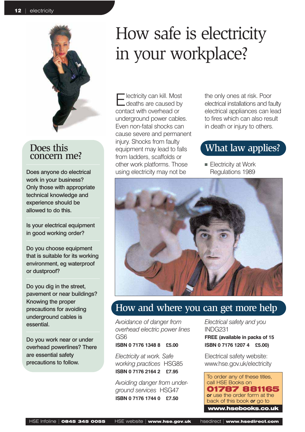

Does anyone do electrical work in your business? Only those with appropriate technical knowledge and experience should be allowed to do this.

Is your electrical equipment in good working order?

Do you choose equipment that is suitable for its working environment, eg waterproof or dustproof?

Do you dig in the street, pavement or near buildings? Knowing the proper precautions for avoiding underground cables is essential.

Do you work near or under overhead powerlines? There are essential safety precautions to follow.

## How safe is electricity in your workplace?

lectricity can kill. Most deaths are caused by contact with overhead or underground power cables. Even non-fatal shocks can cause severe and permanent injury. Shocks from faulty equipment may lead to falls from ladders, scaffolds or other work platforms. Those using electricity may not be

the only ones at risk. Poor electrical installations and faulty electrical appliances can lead to fires which can also result in death or injury to others.

## What law applies?

■ Electricity at Work Regulations 1989



## How and where you can get more help

*Avoidance of danger from overhead electric power lines* GS6

**ISBN 0 7176 1348 8 £5.00**

*Electricity at work. Safe working practices* HSG85 **ISBN 0 7176 2164 2 £7.95**

*Avoiding danger from underground services* HSG47 **ISBN 0 7176 1744 0 £7.50**

*Electrical safety and you* INDG231 **FREE (available in packs of 15 ISBN 0 7176 1207 4 £5.00)**

Electrical safety website: www.hse.gov.uk/electricity

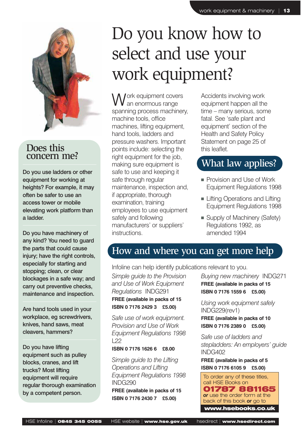

Do you use ladders or other equipment for working at heights? For example, it may often be safer to use an access tower or mobile elevating work platform than a ladder.

Do you have machinery of any kind? You need to guard the parts that could cause injury; have the right controls, especially for starting and stopping; clean, or clear blockages in a safe way; and carry out preventive checks, maintenance and inspection.

Are hand tools used in your workplace, eg screwdrivers, knives, hand saws, meat cleavers, hammers?

Do you have lifting equipment such as pulley blocks, cranes, and lift trucks? Most lifting equipment will require regular thorough examination by a competent person.

## Do you know how to select and use your work equipment?

Jork equipment covers an enormous range spanning process machinery, machine tools, office machines, lifting equipment, hand tools, ladders and pressure washers. Important points include: selecting the right equipment for the job, making sure equipment is safe to use and keeping it safe through regular maintenance, inspection and, if appropriate, thorough examination, training employees to use equipment safely and following manufacturers' or suppliers' instructions.

Accidents involving work equipment happen all the time – many serious, some fatal. See 'safe plant and equipment' section of the Health and Safety Policy Statement on page 25 of this leaflet.

### What law applies?

- Provision and Use of Work Equipment Regulations 1998
- Lifting Operations and Lifting Equipment Regulations 1998
- Supply of Machinery (Safety) Regulations 1992, as amended 1994

## How and where you can get more help

Infoline can help identify publications relevant to you.

*Simple guide to the Provision and Use of Work Equipment Regulations* INDG291 **FREE (available in packs of 15 ISBN 0 7176 2429 3 £5.00)**

*Safe use of work equipment. Provision and Use of Work Equipment Regulations 1998*  $122$ 

#### **ISBN 0 7176 1626 6 £8.00**

*Simple guide to the Lifting Operations and Lifting Equipment Regulations 1998* INDG290 **FREE (available in packs of 15 ISBN 0 7176 2430 7 £5.00)**

*Buying new machinery* INDG271 **FREE (available in packs of 15 ISBN 0 7176 1559 6 £5.00)**

*Using work equipment safely* INDG229(rev1) **FREE (available in packs of 10 ISBN 0 7176 2389 0 £5.00)**

*Safe use of ladders and stepladders: An employers' guide* INDG402

**FREE (available in packs of 5 ISBN 0 7176 6105 9 £5.00)**

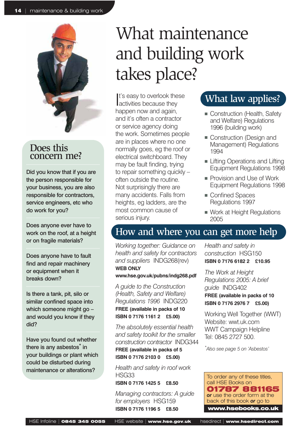

Did you know that if you are the person responsible for your business, you are also responsible for contractors, service engineers, etc who do work for you?

Does anyone ever have to work on the roof, at a height or on fragile materials?

Does anyone have to fault find and repair machinery or equipment when it breaks down?

Is there a tank, pit, silo or similar confined space into which someone might go – and would you know if they did?

Have you found out whether there is any asbestos<sup>\*</sup> in your buildings or plant which could be disturbed during maintenance or alterations?

## What maintenance and building work takes place?

It's easy to overlook the<br>activities because they It's easy to overlook these happen now and again, and it's often a contractor or service agency doing the work. Sometimes people are in places where no one normally goes, eg the roof or electrical switchboard. They may be fault finding, trying to repair something quickly – often outside the routine. Not surprisingly there are many accidents. Falls from heights, eg ladders, are the most common cause of serious injury.

## What law applies?

- Construction (Health, Safety and Welfare) Regulations 1996 (building work)
- Construction (Design and Management) Regulations 1994
- Lifting Operations and Lifting Equipment Regulations 1998
- Provision and Use of Work Equipment Regulations 1998
- Confined Spaces Regulations 1997
- Work at Height Regulations 2005

### How and where you can get more help

*Working together: Guidance on health and safety for contractors and suppliers* INDG268(rev) **WEB ONLY**

#### **www.hse.gov.uk/pubns/indg268.pdf**

*A guide to the Construction (Health, Safety and Welfare) Regulations 1996* INDG220 **FREE (available in packs of 10 ISBN 0 7176 1161 2 £5.00)**

*The absolutely essential health and safety toolkit for the smaller construction contractor* INDG344 **FREE (available in packs of 5 ISBN 0 7176 2103 0 £5.00)**

*Health and safety in roof work* HSG33

**ISBN 0 7176 1425 5 £8.50**

*Managing contractors: A guide for employers* HSG159 **ISBN 0 7176 1196 5 £8.50**

*Health and safety in construction* HSG150 **ISBN 0 7176 6182 2 £10.95**

*The Work at Height Regulations 2005: A brief guide* INDG402

#### **FREE (available in packs of 10 ISBN 0 7176 2976 7 £5.00)**

Working Well Together (WWT) Website: wwt.uk.com WWT Campaign Helpline Tel: 0845 2727 500.

*\* Also see page 5 on 'Asbestos'*

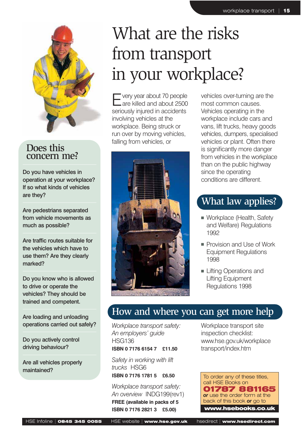

Do you have vehicles in operation at your workplace? If so what kinds of vehicles are they?

Are pedestrians separated from vehicle movements as much as possible?

Are traffic routes suitable for the vehicles which have to use them? Are they clearly marked?

Do you know who is allowed to drive or operate the vehicles? They should be trained and competent.

Are loading and unloading operations carried out safely?

Do you actively control driving behaviour?

Are all vehicles properly maintained?

## What are the risks from transport in your workplace?

very year about 70 people are killed and about 2500 seriously injured in accidents involving vehicles at the workplace. Being struck or run over by moving vehicles, falling from vehicles, or



vehicles over-turning are the most common causes. Vehicles operating in the workplace include cars and vans, lift trucks, heavy goods vehicles, dumpers, specialised vehicles or plant. Often there is significantly more danger from vehicles in the workplace than on the public highway since the operating conditions are different.

## What law applies?

- Workplace (Health, Safety and Welfare) Regulations 1992
- Provision and Use of Work Equipment Regulations 1998
- Lifting Operations and Lifting Equipment Regulations 1998

## How and where you can get more help

*Workplace transport safety: An employers' guide* HSG136 **ISBN 0 7176 6154 7 £11.50**

*Safety in working with lift trucks* HSG6 **ISBN 0 7176 1781 5 £6.50**

*Workplace transport safety: An overview* INDG199(rev1) **FREE (available in packs of 5 ISBN 0 7176 2821 3 £5.00)** 

Workplace transport site inspection checklist: www.hse.gov.uk/workplace transport/index.htm

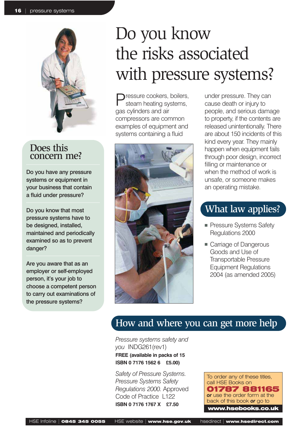

Do you have any pressure systems or equipment in your business that contain a fluid under pressure?

Do you know that most pressure systems have to be designed, installed, maintained and periodically examined so as to prevent danger?

Are you aware that as an employer or self-employed person, it's your job to choose a competent person to carry out examinations of the pressure systems?

## Do you know the risks associated with pressure systems?

Pressure cookers, boilers, steam heating systems, gas cylinders and air compressors are common examples of equipment and systems containing a fluid



under pressure. They can cause death or injury to people, and serious damage to property, if the contents are released unintentionally. There are about 150 incidents of this kind every year. They mainly happen when equipment fails through poor design, incorrect filling or maintenance or when the method of work is unsafe, or someone makes an operating mistake.

## What law applies?

- Pressure Systems Safety Regulations 2000
- Carriage of Dangerous Goods and Use of Transportable Pressure Equipment Regulations 2004 (as amended 2005)

## How and where you can get more help

*Pressure systems safety and you* INDG261(rev1) **FREE (available in packs of 15 ISBN 0 7176 1562 6 £5.00)**

*Safety of Pressure Systems. Pressure Systems Safety Regulations 2000.* Approved Code of Practice L122 **ISBN 0 7176 1767 X £7.50**

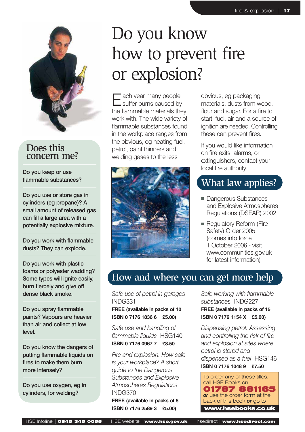

Do you keep or use flammable substances?

Do you use or store gas in cylinders (eg propane)? A small amount of released gas can fill a large area with a potentially explosive mixture.

Do you work with flammable dusts? They can explode.

Do you work with plastic foams or polyester wadding? Some types will ignite easily, burn fiercely and give off dense black smoke.

Do you spray flammable paints? Vapours are heavier than air and collect at low level.

Do you know the dangers of putting flammable liquids on fires to make them burn more intensely?

Do you use oxygen, eg in cylinders, for welding?

## Do you know how to prevent fire or explosion?

Each year many people<br>
suffer burns caused by the flammable materials they work with. The wide variety of flammable substances found in the workplace ranges from the obvious, eg heating fuel, petrol, paint thinners and welding gases to the less



obvious, eg packaging materials, dusts from wood, flour and sugar. For a fire to start, fuel, air and a source of ignition are needed. Controlling these can prevent fires.

If you would like information on fire exits, alarms, or extinguishers, contact your local fire authority.

## What law applies?

- Dangerous Substances and Explosive Atmospheres Regulations (DSEAR) 2002
- Regulatory Reform (Fire Safety) Order 2005 (comes into force 1 October 2006 - visit www.communities.gov.uk for latest information)

## How and where you can get more help

*Safe use of petrol in garages* INDG331

#### **FREE (available in packs of 10 ISBN 0 7176 1836 6 £5.00)**

*Safe use and handling of flammable liquids* HSG140 **ISBN 0 7176 0967 7 £8.50**

*Fire and explosion. How safe is your workplace? A short guide to the Dangerous Substances and Explosive Atmospheres Regulations* INDG370 **FREE (available in packs of 5 ISBN 0 7176 2589 3 £5.00)**

*Safe working with flammable substances* INDG227 **FREE (available in packs of 15 ISBN 0 7176 1154 X £5.00)**

*Dispensing petrol: Assessing and controlling the risk of fire and explosion at sites where petrol is stored and dispensed as a fuel* HSG146 **ISBN 0 7176 1048 9 £7.50**

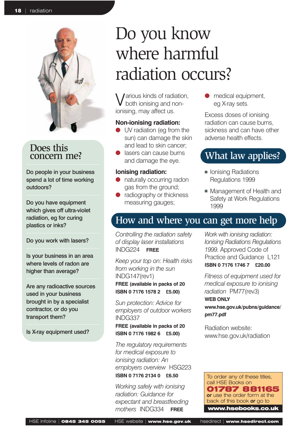

Do people in your business spend a lot of time working outdoors?

Do you have equipment which gives off ultra-violet radiation, eg for curing plastics or inks?

Do you work with lasers?

Is your business in an area where levels of radon are higher than average?

Are any radioactive sources used in your business brought in by a specialist contractor, or do you transport them?

Is X-ray equipment used?

## Do you know where harmful radiation occurs?

Various kinds of radiation, both ionising and nonionising, may affect us.

#### **Non-ionising radiation:**

- UV radiation (eg from the sun) can damage the skin and lead to skin cancer;
- lasers can cause burns and damage the eye.

#### **Ionising radiation:**

- naturally occurring radon gas from the ground;
- radiography or thickness measuring gauges;

medical equipment, eg X-ray sets.

Excess doses of ionising radiation can cause burns, sickness and can have other adverse health effects.

## What law applies?

- Ionising Radiations Regulations 1999
- Management of Health and Safety at Work Regulations 1999

## How and where you can get more help

*Controlling the radiation safety of display laser installations* INDG224 **FREE**

*Keep your top on: Health risks from working in the sun* INDG147(rev1) **FREE (available in packs of 20 ISBN 0 7176 1578 2 £5.00)**

*Sun protection: Advice for employers of outdoor workers* INDG337

#### **FREE (available in packs of 20 ISBN 0 7176 1982 6 £5.00)**

*The regulatory requirements for medical exposure to ionising radiation: An employers overview* HSG223 **ISBN 0 7176 2134 0 £6.50**

*Working safely with ionising radiation: Guidance for expectant and breastfeeding mothers* INDG334 **FREE**

*Work with ionising radiation: Ionising Radiations Regulations 1999.* Approved Code of Practice and Guidance L121 **ISBN 0 7176 1746 7 £20.00**

*Fitness of equipment used for medical exposure to ionising radiation* PM77(rev3) **WEB ONLY www.hse.gov.uk/pubns/guidance/ pm77.pdf**

Radiation website: www.hse.gov.uk/radiation

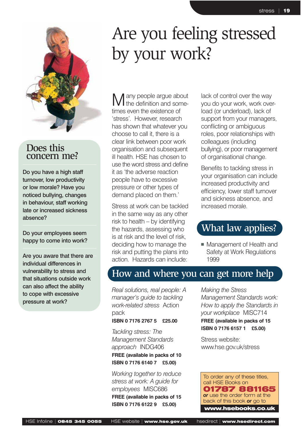

Do you have a high staff turnover, low productivity or low morale? Have you noticed bullying, changes in behaviour, staff working late or increased sickness absence?

Do your employees seem happy to come into work?

Are you aware that there are individual differences in vulnerability to stress and that situations outside work can also affect the ability to cope with excessive pressure at work?

## Are you feeling stressed by your work?

any people argue about the definition and sometimes even the existence of 'stress'. However, research has shown that whatever you choose to call it, there is a clear link between poor work organisation and subsequent ill health. HSE has chosen to use the word stress and define it as 'the adverse reaction people have to excessive pressure or other types of demand placed on them.'

Stress at work can be tackled in the same way as any other risk to health – by identifying the hazards, assessing who is at risk and the level of risk, deciding how to manage the risk and putting the plans into action. Hazards can include:

lack of control over the way you do your work, work overload (or underload), lack of support from your managers, conflicting or ambiguous roles, poor relationships with colleagues (including bullying), or poor management of organisational change.

Benefits to tackling stress in your organisation can include increased productivity and efficiency, lower staff turnover and sickness absence, and increased morale.

### What law applies?

■ Management of Health and Safety at Work Regulations 1999

### How and where you can get more help

*Real solutions, real people: A manager's guide to tackling work-related stress* Action pack

#### **ISBN 0 7176 2767 5 £25.00**

*Tackling stress: The Management Standards approach* INDG406 **FREE (available in packs of 10 ISBN 0 7176 6140 7 £5.00)**

*Working together to reduce stress at work: A guide for employees* MISC686 **FREE (available in packs of 15 ISBN 0 7176 6122 9 £5.00)**

*Making the Stress Management Standards work: How to apply the Standards in your workplace* MISC714 **FREE (available in packs of 15 ISBN 0 7176 6157 1 £5.00)**

Stress website: www.hse.gov.uk/stress

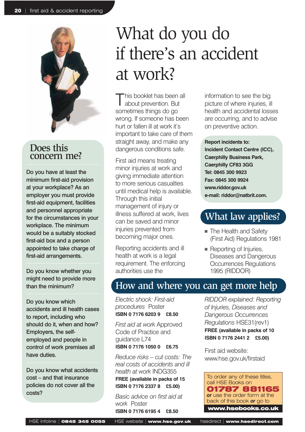

Do you have at least the minimum first-aid provision at your workplace? As an employer you must provide first-aid equipment, facilities and personnel appropriate for the circumstances in your workplace. The minimum would be a suitably stocked first-aid box and a person appointed to take charge of first-aid arrangements.

Do you know whether you might need to provide more than the minimum?

Do you know which accidents and ill health cases to report, including who should do it, when and how? Employers, the selfemployed and people in control of work premises all have duties.

Do you know what accidents cost – and that insurance policies do not cover all the costs?

## What do you do if there's an accident at work?

This booklet has been all about prevention. But sometimes things do go wrong. If someone has been hurt or fallen ill at work it's important to take care of them straight away, and make any dangerous conditions safe.

First aid means treating minor injuries at work and giving immediate attention to more serious casualties until medical help is available. Through this initial management of injury or illness suffered at work, lives can be saved and minor injuries prevented from becoming major ones.

Reporting accidents and ill health at work is a legal requirement. The enforcing authorities use the

information to see the big picture of where injuries, ill health and accidental losses are occurring, and to advise on preventive action.

**Report incidents to:**

**Incident Contact Centre (ICC), Caerphilly Business Park, Caerphilly CF83 3GG Tel: 0845 300 9923 Fax: 0845 300 9924 www.riddor.gov.uk e-mail: riddor@natbrit.com.**

## What law applies?

- The Health and Safety (First Aid) Regulations 1981
- Reporting of Injuries, Diseases and Dangerous Occurrences Regulations 1995 (RIDDOR)

## How and where you can get more help

*Electric shock: First-aid procedures* Poster **ISBN 0 7176 6203 9 £8.50**

*First aid at work* Approved Code of Practice and guidance L74 **ISBN 0 7176 1050 0 £6.75**

*Reduce risks – cut costs: The real costs of accidents and ill health at work* INDG355 **FREE (available in packs of 15 ISBN 0 7176 2337 8 £5.00)** 

*Basic advice on first aid at work* Poster

**ISBN 0 7176 6195 4 £8.50**

*RIDDOR explained: Reporting of Injuries, Diseases and Dangerous Occurrences Regulations* HSE31(rev1)

**FREE (available in packs of 10 ISBN 0 7176 2441 2 £5.00)**

First aid website: www.hse.gov.uk/firstaid

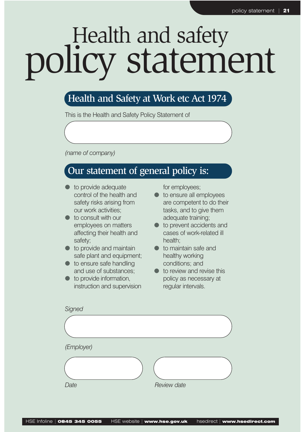# Health and safety policy statement

## Health and Safety at Work etc Act 1974

This is the Health and Safety Policy Statement of

*(name of company)*

## Our statement of general policy is:

- to provide adequate control of the health and safety risks arising from our work activities;
- to consult with our employees on matters affecting their health and safety;
- $\bullet$  to provide and maintain safe plant and equipment;
- to ensure safe handling and use of substances;
- $\bullet$  to provide information, instruction and supervision

for employees;

- to ensure all employees are competent to do their tasks, and to give them adequate training;
- to prevent accidents and cases of work-related ill health;
- to maintain safe and healthy working conditions; and
- $\bullet$  to review and revise this policy as necessary at regular intervals.

| Signed     |             |
|------------|-------------|
|            |             |
| (Employer) |             |
|            |             |
| Date       | Review date |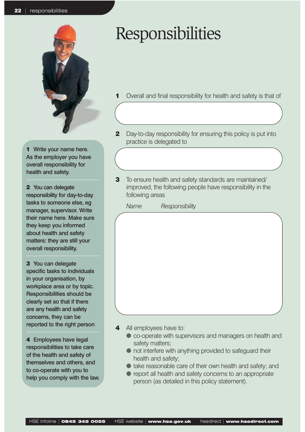

1 Write your name here. As the employer you have overall responsibility for health and safety.

2 You can delegate responsibility for day-to-day tasks to someone else, eg manager, supervisor. Write their name here. Make sure they keep you informed about health and safety matters: they are still your overall responsibility.

3 You can delegate specific tasks to individuals in your organisation, by workplace area or by topic. Responsibilities should be clearly set so that if there are any health and safety concerns, they can be reported to the right person

4 Employees have legal responsibilities to take care of the health and safety of themselves and others, and to co-operate with you to help you comply with the law.

## Responsibilities

- Overall and final responsibility for health and safety is that of
- **2** Day-to-day responsibility for ensuring this policy is put into practice is delegated to
- **3** To ensure health and safety standards are maintained/ improved, the following people have responsibility in the following areas

*Name Responsibility*

- 
- 4 All employees have to:
	- co-operate with supervisors and managers on health and safety matters;
	- not interfere with anything provided to safeguard their health and safety;
	- $\bullet$  take reasonable care of their own health and safety; and
	- report all health and safety concerns to an appropriate person (as detailed in this policy statement).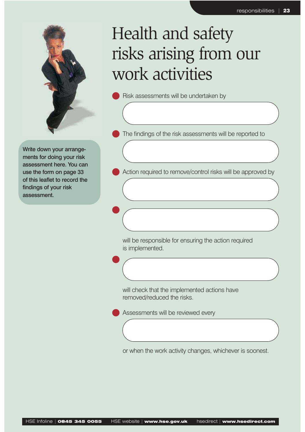

## Health and safety risks arising from our work activities

Risk assessments will be undertaken by

The findings of the risk assessments will be reported to

Write down your arrangements for doing your risk assessment here. You can use the form on page 33 of this leaflet to record the findings of your risk assessment.

 $\bullet$ 

 $\bullet$ 

Action required to remove/control risks will be approved by

will be responsible for ensuring the action required is implemented.

will check that the implemented actions have removed/reduced the risks.

Assessments will be reviewed every

or when the work activity changes, whichever is soonest.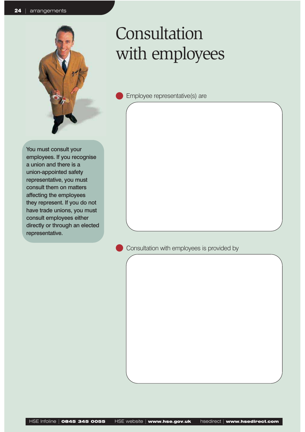

## Consultation with employees

Employee representative(s) are

You must consult your employees. If you recognise a union and there is a union-appointed safety representative, you must consult them on matters affecting the employees they represent. If you do not have trade unions, you must consult employees either directly or through an elected representative.

Consultation with employees is provided by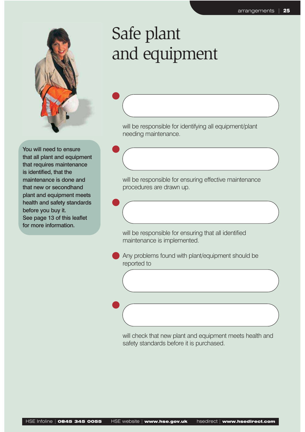

 $\bullet$ 

 $\bullet$ 

 $\bullet$ 

 $\bullet$ 

## Safe plant and equipment

will be responsible for identifying all equipment/plant needing maintenance.

You will need to ensure that all plant and equipment that requires maintenance is identified, that the maintenance is done and that new or secondhand plant and equipment meets health and safety standards before you buy it. See page 13 of this leaflet for more information.

will be responsible for ensuring effective maintenance procedures are drawn up.

will be responsible for ensuring that all identified maintenance is implemented.

Any problems found with plant/equipment should be reported to

will check that new plant and equipment meets health and safety standards before it is purchased.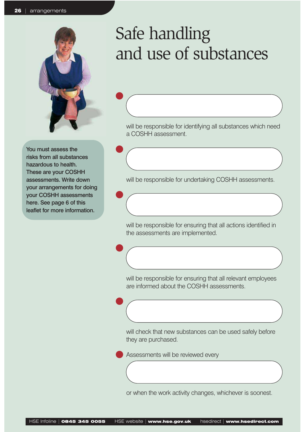

 $\bullet$ 

 $\bullet$ 

 $\bullet$ 

 $\bullet$ 

 $\bullet$ 

You must assess the risks from all substances hazardous to health. These are your COSHH assessments. Write down your arrangements for doing your COSHH assessments here. See page 6 of this leaflet for more information.

## Safe handling and use of substances

will be responsible for identifying all substances which need a COSHH assessment.

will be responsible for undertaking COSHH assessments.

will be responsible for ensuring that all actions identified in the assessments are implemented.

will be responsible for ensuring that all relevant employees are informed about the COSHH assessments.

will check that new substances can be used safely before they are purchased.

Assessments will be reviewed every

or when the work activity changes, whichever is soonest.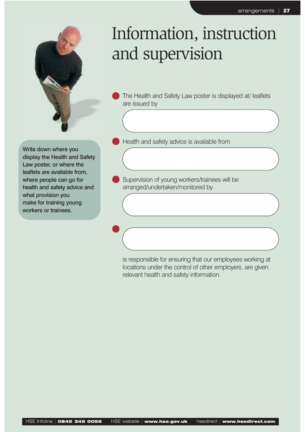

## Information, instruction and supervision

The Health and Safety Law poster is displayed at/ leaflets are issued by

Write down where you display the Health and Safety Law poster, or where the leaflets are available from, where people can go for health and safety advice and what provision you make for training young workers or trainees.

 $\bullet$ 

Health and safety advice is available from

Supervision of young workers/trainees will be arranged/undertaken/monitored by

is responsible for ensuring that our employees working at locations under the control of other employers, are given relevant health and safety information.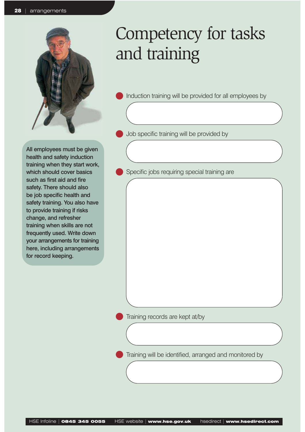

## Competency for tasks and training

Induction training will be provided for all employees by

Job specific training will be provided by

All employees must be given health and safety induction training when they start work, which should cover basics such as first aid and fire safety. There should also be job specific health and safety training. You also have to provide training if risks change, and refresher training when skills are not frequently used. Write down your arrangements for training here, including arrangements for record keeping.

Specific jobs requiring special training are

Training records are kept at/by

Training will be identified, arranged and monitored by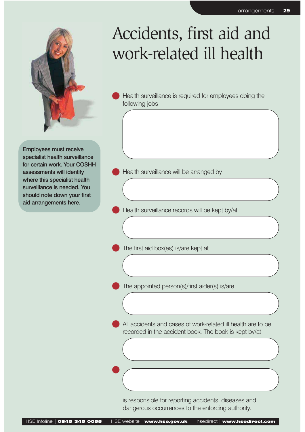

## Accidents, first aid and work-related ill health

Health surveillance is required for employees doing the following jobs

Employees must receive specialist health surveillance for certain work. Your COSHH assessments will identify where this specialist health surveillance is needed. You should note down your first aid arrangements here.

Health surveillance will be arranged by

Health surveillance records will be kept by/at

The first aid box(es) is/are kept at

The appointed person(s)/first aider(s) is/are

All accidents and cases of work-related ill health are to be recorded in the accident book. The book is kept by/at

is responsible for reporting accidents, diseases and dangerous occurrences to the enforcing authority.

 $\bullet$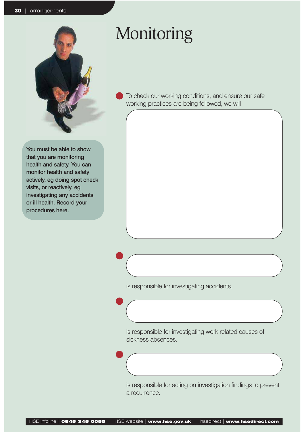

You must be able to show that you are monitoring health and safety. You can monitor health and safety actively, eg doing spot check visits, or reactively, eg investigating any accidents or ill health. Record your procedures here.

## Monitoring

To check our working conditions, and ensure our safe working practices are being followed, we will

is responsible for investigating accidents.

 $\bullet$ 

 $\bullet$ 

 $\bullet$ 

is responsible for investigating work-related causes of sickness absences.

is responsible for acting on investigation findings to prevent a recurrence.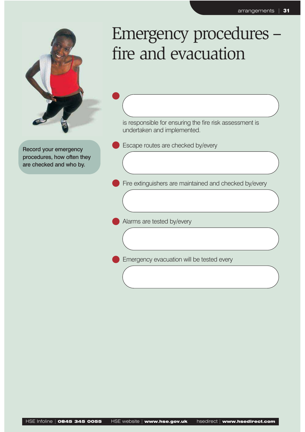

 $\bullet$ 

Record your emergency procedures, how often they are checked and who by.

## Emergency procedures – fire and evacuation

is responsible for ensuring the fire risk assessment is undertaken and implemented.

Escape routes are checked by/every

Fire extinguishers are maintained and checked by/every

Alarms are tested by/every

Emergency evacuation will be tested every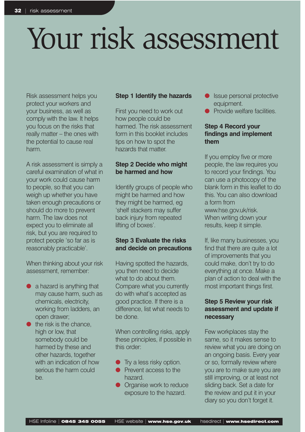# Your risk assessment

Risk assessment helps you protect your workers and your business, as well as comply with the law. It helps you focus on the risks that really matter – the ones with the potential to cause real harm.

A risk assessment is simply a careful examination of what in your work could cause harm to people, so that you can weigh up whether you have taken enough precautions or should do more to prevent harm. The law does not expect you to eliminate all risk, but you are required to protect people 'so far as is reasonably practicable'.

When thinking about your risk assessment, remember:

- $\bullet$  a hazard is anything that may cause harm, such as chemicals, electricity, working from ladders, an open drawer;
- $\bullet$  the risk is the chance. high or low, that somebody could be harmed by these and other hazards, together with an indication of how serious the harm could be.

#### **Step 1 Identify the hazards**

First you need to work out how people could be harmed. The risk assessment form in this booklet includes tips on how to spot the hazards that matter.

#### **Step 2 Decide who might be harmed and how**

Identify groups of people who might be harmed and how they might be harmed, eg 'shelf stackers may suffer back injury from repeated lifting of boxes'.

#### **Step 3 Evaluate the risks and decide on precautions**

Having spotted the hazards, you then need to decide what to do about them. Compare what you currently do with what's accepted as good practice. If there is a difference, list what needs to be done.

When controlling risks, apply these principles, if possible in this order:

- Try a less risky option.
- Prevent access to the hazard.
- Organise work to reduce exposure to the hazard.
- Issue personal protective equipment.
- Provide welfare facilities.

#### **Step 4 Record your findings and implement them**

If you employ five or more people, the law requires you to record your findings. You can use a photocopy of the blank form in this leaflet to do this. You can also download a form from www.hse.gov.uk/risk. When writing down your results, keep it simple.

If, like many businesses, you find that there are quite a lot of improvements that you could make, don't try to do everything at once. Make a plan of action to deal with the most important things first.

#### **Step 5 Review your risk assessment and update if necessary**

Few workplaces stay the same, so it makes sense to review what you are doing on an ongoing basis. Every year or so, formally review where you are to make sure you are still improving, or at least not sliding back. Set a date for the review and put it in your diary so you don't forget it.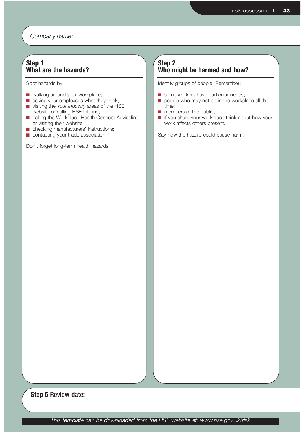*Company name:*

#### **Step 1 What are the hazards?**

Spot hazards by:

- walking around your workplace;
- asking your employees what they think;
- visiting the *Your industry* areas of the HSE website or calling HSE Infoline;
- calling the Workplace Health Connect Adviceline or visiting their website;
- checking manufacturers' instructions;
- contacting your trade association.

Don't forget long-term health hazards.

#### **Step 2 Who might be harmed and how?**

Identify groups of people. Remember:

- some workers have particular needs;
- people who may not be in the workplace all the time;
- members of the public;
- if you share your workplace think about how your work affects others present.

Say how the hazard could cause harm.

**Step 5** Review date: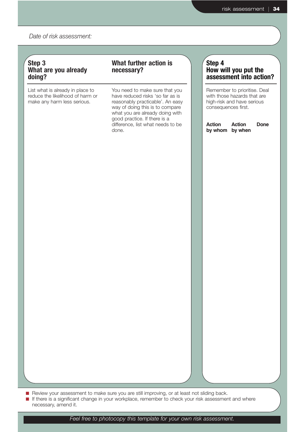*Date of risk assessment:*

#### **Step 3 What are you already doing?**

List what is already in place to reduce the likelihood of harm or make any harm less serious.

#### **What further action is necessary?**

You need to make sure that you have reduced risks 'so far as is reasonably practicable'. An easy way of doing this is to compare what you are already doing with good practice. If there is a difference, list what needs to be done.

#### **Step 4 How will you put the assessment into action?**

Remember to prioritise. Deal with those hazards that are high-risk and have serious consequences first.

**Action Action Done by whom by when**

■ Review your assessment to make sure you are still improving, or at least not sliding back.

■ If there is a significant change in your workplace, remember to check your risk assessment and where necessary, amend it.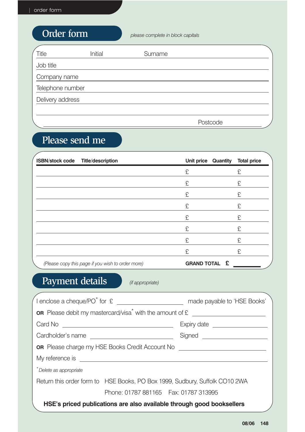## Order form *please complete in block capitals*

| Title            | Initial | Surname  |  |
|------------------|---------|----------|--|
| Job title        |         |          |  |
| Company name     |         |          |  |
| Telephone number |         |          |  |
| Delivery address |         |          |  |
|                  |         |          |  |
|                  |         | Postcode |  |

## Please send me

| <b>ISBN/stock code</b> | <b>Title/description</b>                          | <b>Unit price Quantity</b> | <b>Total price</b> |
|------------------------|---------------------------------------------------|----------------------------|--------------------|
|                        |                                                   | £                          | £                  |
|                        |                                                   | £                          | £                  |
|                        |                                                   | £                          | £                  |
|                        |                                                   | £                          | £                  |
|                        |                                                   | £                          | £                  |
|                        |                                                   | £                          | £                  |
|                        |                                                   | £                          | £                  |
|                        |                                                   | £                          | £                  |
|                        | (Please copy this page if you wish to order more) | <b>GRAND TOTAL £</b>       |                    |

## Payment details *(if appropriate)*

|                                                                                                                                                                                                                               | made payable to 'HSE Books'                                                 |  |  |  |  |
|-------------------------------------------------------------------------------------------------------------------------------------------------------------------------------------------------------------------------------|-----------------------------------------------------------------------------|--|--|--|--|
| <b>OR</b> Please debit my mastercard/visa <sup>*</sup> with the amount of $\epsilon$                                                                                                                                          |                                                                             |  |  |  |  |
|                                                                                                                                                                                                                               | Expiry date ____________________                                            |  |  |  |  |
| Cardholder's name                                                                                                                                                                                                             | Signed _______________________                                              |  |  |  |  |
| OR Please charge my HSE Books Credit Account No <b>Communist Contract Contract Control</b>                                                                                                                                    |                                                                             |  |  |  |  |
| My reference is a state of the state of the state of the state of the state of the state of the state of the state of the state of the state of the state of the state of the state of the state of the state of the state of |                                                                             |  |  |  |  |
| *Delete as appropriate                                                                                                                                                                                                        |                                                                             |  |  |  |  |
|                                                                                                                                                                                                                               | Return this order form to HSE Books, PO Box 1999, Sudbury, Suffolk CO10 2WA |  |  |  |  |
| Phone: 01787 881165   Fax: 01787 313995                                                                                                                                                                                       |                                                                             |  |  |  |  |
| HSE's priced publications are also available through good booksellers                                                                                                                                                         |                                                                             |  |  |  |  |